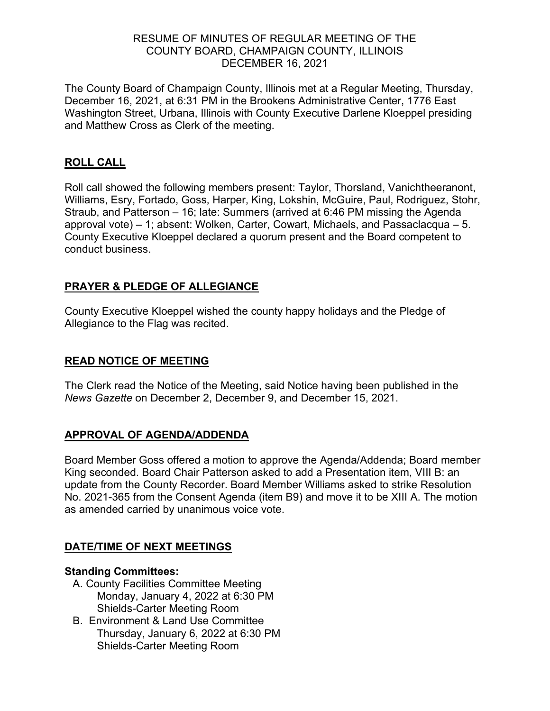#### RESUME OF MINUTES OF REGULAR MEETING OF THE COUNTY BOARD, CHAMPAIGN COUNTY, ILLINOIS DECEMBER 16, 2021

The County Board of Champaign County, Illinois met at a Regular Meeting, Thursday, December 16, 2021, at 6:31 PM in the Brookens Administrative Center, 1776 East Washington Street, Urbana, Illinois with County Executive Darlene Kloeppel presiding and Matthew Cross as Clerk of the meeting.

## **ROLL CALL**

Roll call showed the following members present: Taylor, Thorsland, Vanichtheeranont, Williams, Esry, Fortado, Goss, Harper, King, Lokshin, McGuire, Paul, Rodriguez, Stohr, Straub, and Patterson – 16; late: Summers (arrived at 6:46 PM missing the Agenda approval vote) – 1; absent: Wolken, Carter, Cowart, Michaels, and Passaclacqua – 5. County Executive Kloeppel declared a quorum present and the Board competent to conduct business.

## **PRAYER & PLEDGE OF ALLEGIANCE**

County Executive Kloeppel wished the county happy holidays and the Pledge of Allegiance to the Flag was recited.

#### **READ NOTICE OF MEETING**

The Clerk read the Notice of the Meeting, said Notice having been published in the *News Gazette* on December 2, December 9, and December 15, 2021.

#### **APPROVAL OF AGENDA/ADDENDA**

Board Member Goss offered a motion to approve the Agenda/Addenda; Board member King seconded. Board Chair Patterson asked to add a Presentation item, VIII B: an update from the County Recorder. Board Member Williams asked to strike Resolution No. 2021-365 from the Consent Agenda (item B9) and move it to be XIII A. The motion as amended carried by unanimous voice vote.

#### **DATE/TIME OF NEXT MEETINGS**

#### **Standing Committees:**

- A. County Facilities Committee Meeting Monday, January 4, 2022 at 6:30 PM Shields-Carter Meeting Room
- B. Environment & Land Use Committee Thursday, January 6, 2022 at 6:30 PM Shields-Carter Meeting Room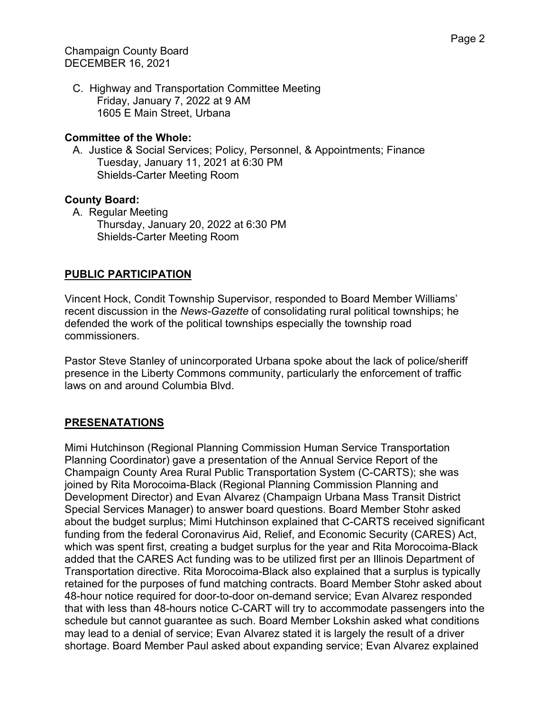C. Highway and Transportation Committee Meeting Friday, January 7, 2022 at 9 AM 1605 E Main Street, Urbana

#### **Committee of the Whole:**

A. Justice & Social Services; Policy, Personnel, & Appointments; Finance Tuesday, January 11, 2021 at 6:30 PM Shields-Carter Meeting Room

## **County Board:**

A. Regular Meeting Thursday, January 20, 2022 at 6:30 PM Shields-Carter Meeting Room

## **PUBLIC PARTICIPATION**

Vincent Hock, Condit Township Supervisor, responded to Board Member Williams' recent discussion in the *News-Gazette* of consolidating rural political townships; he defended the work of the political townships especially the township road commissioners.

Pastor Steve Stanley of unincorporated Urbana spoke about the lack of police/sheriff presence in the Liberty Commons community, particularly the enforcement of traffic laws on and around Columbia Blvd.

## **PRESENATATIONS**

Mimi Hutchinson (Regional Planning Commission Human Service Transportation Planning Coordinator) gave a presentation of the Annual Service Report of the Champaign County Area Rural Public Transportation System (C-CARTS); she was joined by Rita Morocoima-Black (Regional Planning Commission Planning and Development Director) and Evan Alvarez (Champaign Urbana Mass Transit District Special Services Manager) to answer board questions. Board Member Stohr asked about the budget surplus; Mimi Hutchinson explained that C-CARTS received significant funding from the federal Coronavirus Aid, Relief, and Economic Security (CARES) Act, which was spent first, creating a budget surplus for the year and Rita Morocoima-Black added that the CARES Act funding was to be utilized first per an Illinois Department of Transportation directive. Rita Morocoima-Black also explained that a surplus is typically retained for the purposes of fund matching contracts. Board Member Stohr asked about 48-hour notice required for door-to-door on-demand service; Evan Alvarez responded that with less than 48-hours notice C-CART will try to accommodate passengers into the schedule but cannot guarantee as such. Board Member Lokshin asked what conditions may lead to a denial of service; Evan Alvarez stated it is largely the result of a driver shortage. Board Member Paul asked about expanding service; Evan Alvarez explained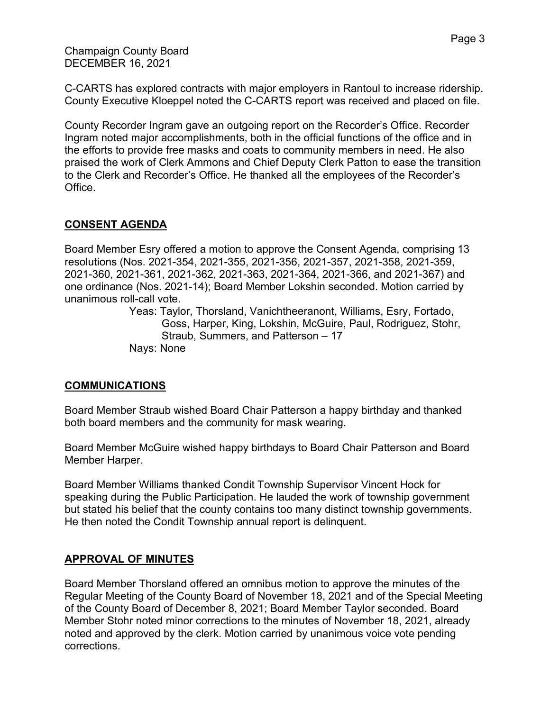Champaign County Board DECEMBER 16, 2021

C-CARTS has explored contracts with major employers in Rantoul to increase ridership. County Executive Kloeppel noted the C-CARTS report was received and placed on file.

County Recorder Ingram gave an outgoing report on the Recorder's Office. Recorder Ingram noted major accomplishments, both in the official functions of the office and in the efforts to provide free masks and coats to community members in need. He also praised the work of Clerk Ammons and Chief Deputy Clerk Patton to ease the transition to the Clerk and Recorder's Office. He thanked all the employees of the Recorder's Office.

# **CONSENT AGENDA**

Board Member Esry offered a motion to approve the Consent Agenda, comprising 13 resolutions (Nos. 2021-354, 2021-355, 2021-356, 2021-357, 2021-358, 2021-359, 2021-360, 2021-361, 2021-362, 2021-363, 2021-364, 2021-366, and 2021-367) and one ordinance (Nos. 2021-14); Board Member Lokshin seconded. Motion carried by unanimous roll-call vote.

> Yeas: Taylor, Thorsland, Vanichtheeranont, Williams, Esry, Fortado, Goss, Harper, King, Lokshin, McGuire, Paul, Rodriguez, Stohr, Straub, Summers, and Patterson – 17 Nays: None

## **COMMUNICATIONS**

Board Member Straub wished Board Chair Patterson a happy birthday and thanked both board members and the community for mask wearing.

Board Member McGuire wished happy birthdays to Board Chair Patterson and Board Member Harper.

Board Member Williams thanked Condit Township Supervisor Vincent Hock for speaking during the Public Participation. He lauded the work of township government but stated his belief that the county contains too many distinct township governments. He then noted the Condit Township annual report is delinquent.

## **APPROVAL OF MINUTES**

Board Member Thorsland offered an omnibus motion to approve the minutes of the Regular Meeting of the County Board of November 18, 2021 and of the Special Meeting of the County Board of December 8, 2021; Board Member Taylor seconded. Board Member Stohr noted minor corrections to the minutes of November 18, 2021, already noted and approved by the clerk. Motion carried by unanimous voice vote pending corrections.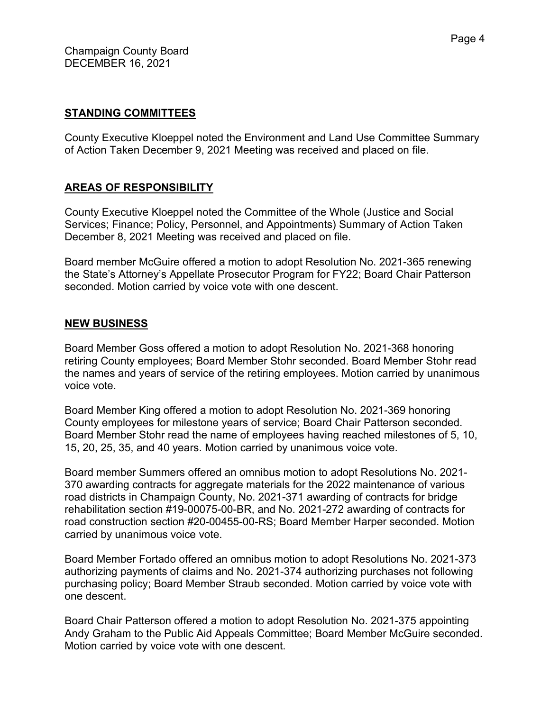#### **STANDING COMMITTEES**

County Executive Kloeppel noted the Environment and Land Use Committee Summary of Action Taken December 9, 2021 Meeting was received and placed on file.

## **AREAS OF RESPONSIBILITY**

County Executive Kloeppel noted the Committee of the Whole (Justice and Social Services; Finance; Policy, Personnel, and Appointments) Summary of Action Taken December 8, 2021 Meeting was received and placed on file.

Board member McGuire offered a motion to adopt Resolution No. 2021-365 renewing the State's Attorney's Appellate Prosecutor Program for FY22; Board Chair Patterson seconded. Motion carried by voice vote with one descent.

#### **NEW BUSINESS**

Board Member Goss offered a motion to adopt Resolution No. 2021-368 honoring retiring County employees; Board Member Stohr seconded. Board Member Stohr read the names and years of service of the retiring employees. Motion carried by unanimous voice vote.

Board Member King offered a motion to adopt Resolution No. 2021-369 honoring County employees for milestone years of service; Board Chair Patterson seconded. Board Member Stohr read the name of employees having reached milestones of 5, 10, 15, 20, 25, 35, and 40 years. Motion carried by unanimous voice vote.

Board member Summers offered an omnibus motion to adopt Resolutions No. 2021- 370 awarding contracts for aggregate materials for the 2022 maintenance of various road districts in Champaign County, No. 2021-371 awarding of contracts for bridge rehabilitation section #19-00075-00-BR, and No. 2021-272 awarding of contracts for road construction section #20-00455-00-RS; Board Member Harper seconded. Motion carried by unanimous voice vote.

Board Member Fortado offered an omnibus motion to adopt Resolutions No. 2021-373 authorizing payments of claims and No. 2021-374 authorizing purchases not following purchasing policy; Board Member Straub seconded. Motion carried by voice vote with one descent.

Board Chair Patterson offered a motion to adopt Resolution No. 2021-375 appointing Andy Graham to the Public Aid Appeals Committee; Board Member McGuire seconded. Motion carried by voice vote with one descent.